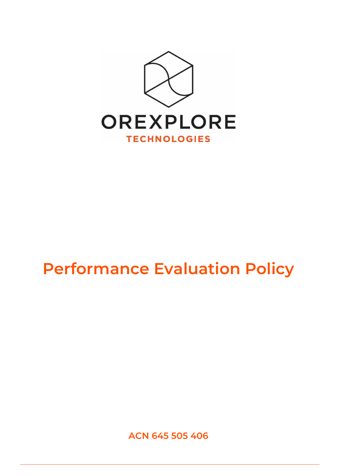

## **Performance Evaluation Policy**

**ACN 645 505 406**